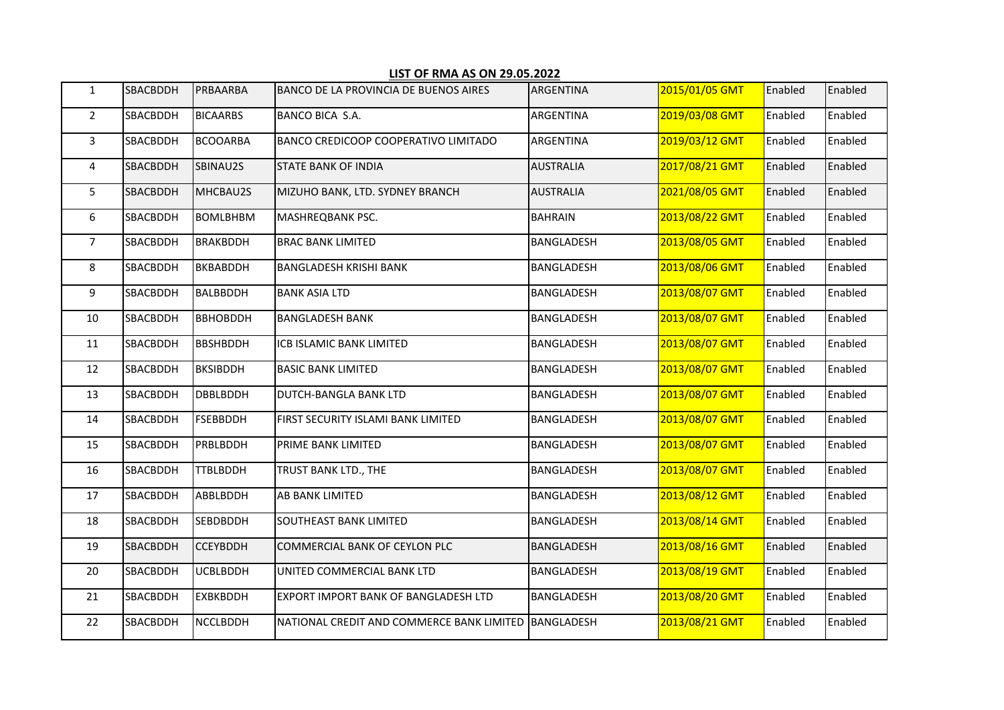| $\mathbf{1}$   | <b>SBACBDDH</b> | PRBAARBA        | <b>BANCO DE LA PROVINCIA DE BUENOS AIRES</b>         | ARGENTINA        | 2015/01/05 GMT | Enabled | Enabled |
|----------------|-----------------|-----------------|------------------------------------------------------|------------------|----------------|---------|---------|
| $2^{\circ}$    | SBACBDDH        | <b>BICAARBS</b> | BANCO BICA S.A.                                      | <b>ARGENTINA</b> | 2019/03/08 GMT | Enabled | Enabled |
| $\mathbf{3}$   | SBACBDDH        | <b>BCOOARBA</b> | BANCO CREDICOOP COOPERATIVO LIMITADO                 | ARGENTINA        | 2019/03/12 GMT | Enabled | Enabled |
| 4              | <b>SBACBDDH</b> | SBINAU2S        | <b>STATE BANK OF INDIA</b>                           | <b>AUSTRALIA</b> | 2017/08/21 GMT | Enabled | Enabled |
| 5              | SBACBDDH        | MHCBAU2S        | MIZUHO BANK, LTD. SYDNEY BRANCH                      | <b>AUSTRALIA</b> | 2021/08/05 GMT | Enabled | Enabled |
| 6              | SBACBDDH        | <b>BOMLBHBM</b> | MASHREQBANK PSC.                                     | <b>BAHRAIN</b>   | 2013/08/22 GMT | Enabled | Enabled |
| 7 <sup>7</sup> | <b>SBACBDDH</b> | <b>BRAKBDDH</b> | <b>BRAC BANK LIMITED</b>                             | BANGLADESH       | 2013/08/05 GMT | Enabled | Enabled |
| 8              | SBACBDDH        | <b>BKBABDDH</b> | BANGLADESH KRISHI BANK                               | BANGLADESH       | 2013/08/06 GMT | Enabled | Enabled |
| 9              | SBACBDDH        | <b>BALBBDDH</b> | <b>BANK ASIA LTD</b>                                 | BANGLADESH       | 2013/08/07 GMT | Enabled | Enabled |
| 10             | SBACBDDH        | <b>BBHOBDDH</b> | <b>BANGLADESH BANK</b>                               | BANGLADESH       | 2013/08/07 GMT | Enabled | Enabled |
| 11             | SBACBDDH        | <b>BBSHBDDH</b> | ICB ISLAMIC BANK LIMITED                             | BANGLADESH       | 2013/08/07 GMT | Enabled | Enabled |
| 12             | SBACBDDH        | <b>BKSIBDDH</b> | <b>BASIC BANK LIMITED</b>                            | BANGLADESH       | 2013/08/07 GMT | Enabled | Enabled |
| 13             | SBACBDDH        | <b>DBBLBDDH</b> | <b>DUTCH-BANGLA BANK LTD</b>                         | BANGLADESH       | 2013/08/07 GMT | Enabled | Enabled |
| 14             | SBACBDDH        | <b>FSEBBDDH</b> | FIRST SECURITY ISLAMI BANK LIMITED                   | BANGLADESH       | 2013/08/07 GMT | Enabled | Enabled |
| 15             | SBACBDDH        | PRBLBDDH        | PRIME BANK LIMITED                                   | BANGLADESH       | 2013/08/07 GMT | Enabled | Enabled |
| 16             | SBACBDDH        | <b>TTBLBDDH</b> | TRUST BANK LTD., THE                                 | BANGLADESH       | 2013/08/07 GMT | Enabled | Enabled |
| 17             | <b>SBACBDDH</b> | ABBLBDDH        | AB BANK LIMITED                                      | BANGLADESH       | 2013/08/12 GMT | Enabled | Enabled |
| 18             | SBACBDDH        | <b>SEBDBDDH</b> | SOUTHEAST BANK LIMITED                               | BANGLADESH       | 2013/08/14 GMT | Enabled | Enabled |
| 19             | SBACBDDH        | <b>CCEYBDDH</b> | COMMERCIAL BANK OF CEYLON PLC                        | BANGLADESH       | 2013/08/16 GMT | Enabled | Enabled |
| 20             | SBACBDDH        | <b>UCBLBDDH</b> | UNITED COMMERCIAL BANK LTD                           | BANGLADESH       | 2013/08/19 GMT | Enabled | Enabled |
| 21             | SBACBDDH        | <b>EXBKBDDH</b> | EXPORT IMPORT BANK OF BANGLADESH LTD                 | BANGLADESH       | 2013/08/20 GMT | Enabled | Enabled |
| 22             | <b>SBACBDDH</b> | <b>NCCLBDDH</b> | NATIONAL CREDIT AND COMMERCE BANK LIMITED BANGLADESH |                  | 2013/08/21 GMT | Enabled | Enabled |

## LIST OF RMA AS ON 29.05.2022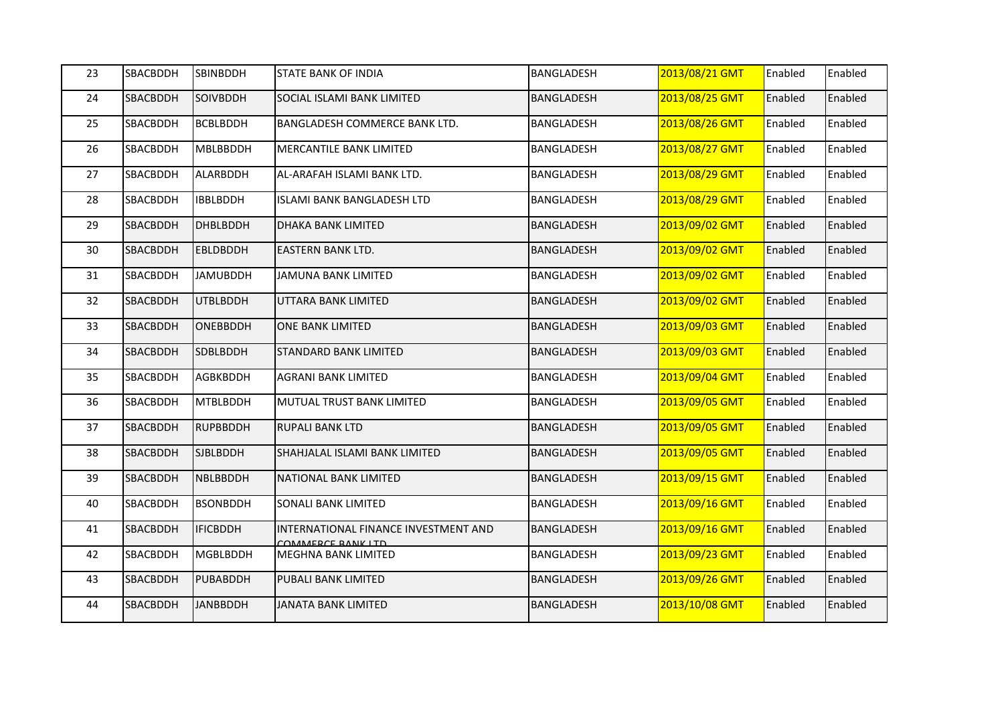| 23 | SBACBDDH | <b>SBINBDDH</b> | <b>STATE BANK OF INDIA</b>                                | <b>BANGLADESH</b> | 2013/08/21 GMT | Enabled | Enabled |
|----|----------|-----------------|-----------------------------------------------------------|-------------------|----------------|---------|---------|
| 24 | SBACBDDH | SOIVBDDH        | SOCIAL ISLAMI BANK LIMITED                                | <b>BANGLADESH</b> | 2013/08/25 GMT | Enabled | Enabled |
| 25 | SBACBDDH | <b>BCBLBDDH</b> | BANGLADESH COMMERCE BANK LTD.                             | BANGLADESH        | 2013/08/26 GMT | Enabled | Enabled |
| 26 | SBACBDDH | <b>MBLBBDDH</b> | MERCANTILE BANK LIMITED                                   | <b>BANGLADESH</b> | 2013/08/27 GMT | Enabled | Enabled |
| 27 | SBACBDDH | ALARBDDH        | AL-ARAFAH ISLAMI BANK LTD.                                | <b>BANGLADESH</b> | 2013/08/29 GMT | Enabled | Enabled |
| 28 | SBACBDDH | <b>IBBLBDDH</b> | ISLAMI BANK BANGLADESH LTD                                | BANGLADESH        | 2013/08/29 GMT | Enabled | Enabled |
| 29 | SBACBDDH | <b>DHBLBDDH</b> | <b>DHAKA BANK LIMITED</b>                                 | <b>BANGLADESH</b> | 2013/09/02 GMT | Enabled | Enabled |
| 30 | SBACBDDH | <b>EBLDBDDH</b> | <b>EASTERN BANK LTD.</b>                                  | <b>BANGLADESH</b> | 2013/09/02 GMT | Enabled | Enabled |
| 31 | SBACBDDH | <b>JAMUBDDH</b> | JAMUNA BANK LIMITED                                       | <b>BANGLADESH</b> | 2013/09/02 GMT | Enabled | Enabled |
| 32 | SBACBDDH | <b>UTBLBDDH</b> | UTTARA BANK LIMITED                                       | <b>BANGLADESH</b> | 2013/09/02 GMT | Enabled | Enabled |
| 33 | SBACBDDH | <b>ONEBBDDH</b> | <b>ONE BANK LIMITED</b>                                   | BANGLADESH        | 2013/09/03 GMT | Enabled | Enabled |
| 34 | SBACBDDH | SDBLBDDH        | <b>STANDARD BANK LIMITED</b>                              | BANGLADESH        | 2013/09/03 GMT | Enabled | Enabled |
| 35 | SBACBDDH | <b>AGBKBDDH</b> | <b>AGRANI BANK LIMITED</b>                                | <b>BANGLADESH</b> | 2013/09/04 GMT | Enabled | Enabled |
| 36 | SBACBDDH | <b>MTBLBDDH</b> | MUTUAL TRUST BANK LIMITED                                 | BANGLADESH        | 2013/09/05 GMT | Enabled | Enabled |
| 37 | SBACBDDH | <b>RUPBBDDH</b> | <b>RUPALI BANK LTD</b>                                    | BANGLADESH        | 2013/09/05 GMT | Enabled | Enabled |
| 38 | SBACBDDH | <b>SJBLBDDH</b> | SHAHJALAL ISLAMI BANK LIMITED                             | <b>BANGLADESH</b> | 2013/09/05 GMT | Enabled | Enabled |
| 39 | SBACBDDH | <b>NBLBBDDH</b> | NATIONAL BANK LIMITED                                     | BANGLADESH        | 2013/09/15 GMT | Enabled | Enabled |
| 40 | SBACBDDH | <b>BSONBDDH</b> | SONALI BANK LIMITED                                       | <b>BANGLADESH</b> | 2013/09/16 GMT | Enabled | Enabled |
| 41 | SBACBDDH | <b>IFICBDDH</b> | INTERNATIONAL FINANCE INVESTMENT AND<br>COMMERCE RANK LTD | BANGLADESH        | 2013/09/16 GMT | Enabled | Enabled |
| 42 | SBACBDDH | <b>MGBLBDDH</b> | MEGHNA BANK LIMITED                                       | BANGLADESH        | 2013/09/23 GMT | Enabled | Enabled |
| 43 | SBACBDDH | PUBABDDH        | PUBALI BANK LIMITED                                       | BANGLADESH        | 2013/09/26 GMT | Enabled | Enabled |
| 44 | SBACBDDH | <b>JANBBDDH</b> | <b>JANATA BANK LIMITED</b>                                | <b>BANGLADESH</b> | 2013/10/08 GMT | Enabled | Enabled |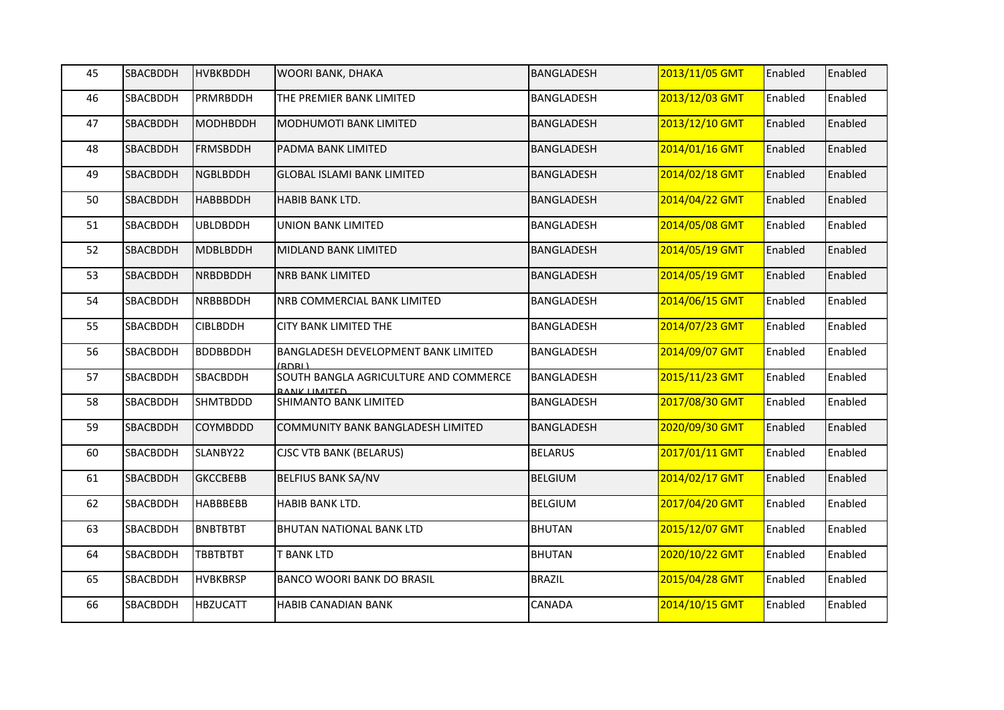| 45 | SBACBDDH        | <b>HVBKBDDH</b> | WOORI BANK, DHAKA                                            | BANGLADESH        | 2013/11/05 GMT | Enabled | Enabled |
|----|-----------------|-----------------|--------------------------------------------------------------|-------------------|----------------|---------|---------|
| 46 | SBACBDDH        | <b>PRMRBDDH</b> | THE PREMIER BANK LIMITED                                     | BANGLADESH        | 2013/12/03 GMT | Enabled | Enabled |
| 47 | SBACBDDH        | <b>MODHBDDH</b> | <b>MODHUMOTI BANK LIMITED</b>                                | <b>BANGLADESH</b> | 2013/12/10 GMT | Enabled | Enabled |
| 48 | SBACBDDH        | <b>FRMSBDDH</b> | PADMA BANK LIMITED                                           | <b>BANGLADESH</b> | 2014/01/16 GMT | Enabled | Enabled |
| 49 | SBACBDDH        | <b>NGBLBDDH</b> | <b>GLOBAL ISLAMI BANK LIMITED</b>                            | <b>BANGLADESH</b> | 2014/02/18 GMT | Enabled | Enabled |
| 50 | SBACBDDH        | <b>HABBBDDH</b> | <b>HABIB BANK LTD.</b>                                       | <b>BANGLADESH</b> | 2014/04/22 GMT | Enabled | Enabled |
| 51 | SBACBDDH        | <b>UBLDBDDH</b> | <b>UNION BANK LIMITED</b>                                    | BANGLADESH        | 2014/05/08 GMT | Enabled | Enabled |
| 52 | SBACBDDH        | <b>MDBLBDDH</b> | MIDLAND BANK LIMITED                                         | BANGLADESH        | 2014/05/19 GMT | Enabled | Enabled |
| 53 | <b>SBACBDDH</b> | <b>NRBDBDDH</b> | <b>NRB BANK LIMITED</b>                                      | BANGLADESH        | 2014/05/19 GMT | Enabled | Enabled |
| 54 | SBACBDDH        | <b>NRBBBDDH</b> | NRB COMMERCIAL BANK LIMITED                                  | BANGLADESH        | 2014/06/15 GMT | Enabled | Enabled |
| 55 | SBACBDDH        | <b>CIBLBDDH</b> | <b>CITY BANK LIMITED THE</b>                                 | BANGLADESH        | 2014/07/23 GMT | Enabled | Enabled |
| 56 | SBACBDDH        | <b>BDDBBDDH</b> | BANGLADESH DEVELOPMENT BANK LIMITED<br>(RDRL)                | BANGLADESH        | 2014/09/07 GMT | Enabled | Enabled |
| 57 | SBACBDDH        | SBACBDDH        | SOUTH BANGLA AGRICULTURE AND COMMERCE<br><b>BANK LIMITED</b> | BANGLADESH        | 2015/11/23 GMT | Enabled | Enabled |
| 58 | SBACBDDH        | <b>SHMTBDDD</b> | SHIMANTO BANK LIMITED                                        | BANGLADESH        | 2017/08/30 GMT | Enabled | Enabled |
| 59 | <b>SBACBDDH</b> | <b>COYMBDDD</b> | <b>COMMUNITY BANK BANGLADESH LIMITED</b>                     | BANGLADESH        | 2020/09/30 GMT | Enabled | Enabled |
| 60 | SBACBDDH        | SLANBY22        | <b>CJSC VTB BANK (BELARUS)</b>                               | <b>BELARUS</b>    | 2017/01/11 GMT | Enabled | Enabled |
| 61 | SBACBDDH        | <b>GKCCBEBB</b> | <b>BELFIUS BANK SA/NV</b>                                    | <b>BELGIUM</b>    | 2014/02/17 GMT | Enabled | Enabled |
| 62 | SBACBDDH        | <b>HABBBEBB</b> | HABIB BANK LTD.                                              | <b>BELGIUM</b>    | 2017/04/20 GMT | Enabled | Enabled |
| 63 | SBACBDDH        | <b>BNBTBTBT</b> | <b>BHUTAN NATIONAL BANK LTD</b>                              | <b>BHUTAN</b>     | 2015/12/07 GMT | Enabled | Enabled |
| 64 | SBACBDDH        | <b>TBBTBTBT</b> | <b>T BANK LTD</b>                                            | <b>BHUTAN</b>     | 2020/10/22 GMT | Enabled | Enabled |
| 65 | SBACBDDH        | <b>HVBKBRSP</b> | BANCO WOORI BANK DO BRASIL                                   | <b>BRAZIL</b>     | 2015/04/28 GMT | Enabled | Enabled |
| 66 | SBACBDDH        | <b>HBZUCATT</b> | HABIB CANADIAN BANK                                          | CANADA            | 2014/10/15 GMT | Enabled | Enabled |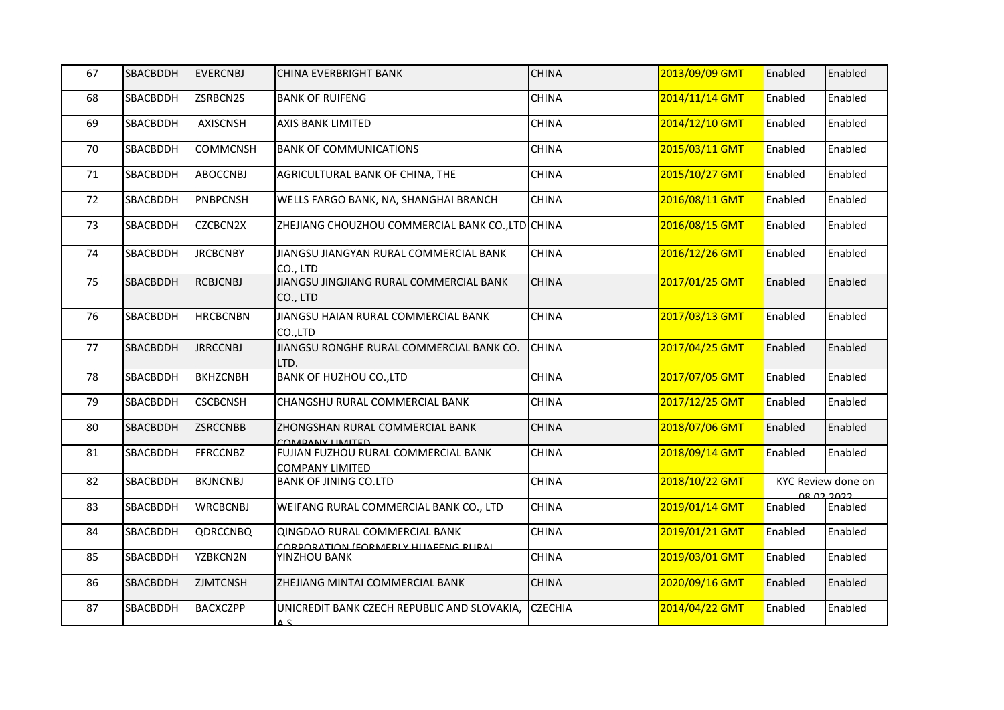| 67 | <b>SBACBDDH</b> | <b>EVERCNBJ</b> | <b>CHINA EVERBRIGHT BANK</b>                                          | <b>CHINA</b>   | 2013/09/09 GMT | Enabled | Enabled                                 |
|----|-----------------|-----------------|-----------------------------------------------------------------------|----------------|----------------|---------|-----------------------------------------|
| 68 | <b>SBACBDDH</b> | ZSRBCN2S        | <b>BANK OF RUIFENG</b>                                                | <b>CHINA</b>   | 2014/11/14 GMT | Enabled | Enabled                                 |
| 69 | <b>SBACBDDH</b> | AXISCNSH        | <b>AXIS BANK LIMITED</b>                                              | <b>CHINA</b>   | 2014/12/10 GMT | Enabled | Enabled                                 |
| 70 | <b>SBACBDDH</b> | <b>COMMCNSH</b> | <b>BANK OF COMMUNICATIONS</b>                                         | <b>CHINA</b>   | 2015/03/11 GMT | Enabled | Enabled                                 |
| 71 | <b>SBACBDDH</b> | <b>ABOCCNBJ</b> | AGRICULTURAL BANK OF CHINA, THE                                       | <b>CHINA</b>   | 2015/10/27 GMT | Enabled | Enabled                                 |
| 72 | <b>SBACBDDH</b> | <b>PNBPCNSH</b> | WELLS FARGO BANK, NA, SHANGHAI BRANCH                                 | <b>CHINA</b>   | 2016/08/11 GMT | Enabled | Enabled                                 |
| 73 | <b>SBACBDDH</b> | CZCBCN2X        | ZHEJIANG CHOUZHOU COMMERCIAL BANK CO., LTD CHINA                      |                | 2016/08/15 GMT | Enabled | Enabled                                 |
| 74 | SBACBDDH        | <b>JRCBCNBY</b> | JIANGSU JIANGYAN RURAL COMMERCIAL BANK<br>CO., LTD                    | <b>CHINA</b>   | 2016/12/26 GMT | Enabled | Enabled                                 |
| 75 | <b>SBACBDDH</b> | <b>RCBJCNBJ</b> | JIANGSU JINGJIANG RURAL COMMERCIAL BANK<br>CO., LTD                   | <b>CHINA</b>   | 2017/01/25 GMT | Enabled | Enabled                                 |
| 76 | SBACBDDH        | <b>HRCBCNBN</b> | JIANGSU HAIAN RURAL COMMERCIAL BANK<br>CO.,LTD                        | <b>CHINA</b>   | 2017/03/13 GMT | Enabled | Enabled                                 |
| 77 | <b>SBACBDDH</b> | <b>JRRCCNBJ</b> | JIANGSU RONGHE RURAL COMMERCIAL BANK CO.<br>LTD.                      | <b>CHINA</b>   | 2017/04/25 GMT | Enabled | Enabled                                 |
| 78 | SBACBDDH        | <b>BKHZCNBH</b> | <b>BANK OF HUZHOU CO., LTD</b>                                        | <b>CHINA</b>   | 2017/07/05 GMT | Enabled | Enabled                                 |
| 79 | SBACBDDH        | <b>CSCBCNSH</b> | CHANGSHU RURAL COMMERCIAL BANK                                        | <b>CHINA</b>   | 2017/12/25 GMT | Enabled | Enabled                                 |
| 80 | <b>SBACBDDH</b> | <b>ZSRCCNBB</b> | ZHONGSHAN RURAL COMMERCIAL BANK<br>COMPANY LIMITED                    | <b>CHINA</b>   | 2018/07/06 GMT | Enabled | Enabled                                 |
| 81 | SBACBDDH        | <b>FFRCCNBZ</b> | FUJIAN FUZHOU RURAL COMMERCIAL BANK<br><b>COMPANY LIMITED</b>         | <b>CHINA</b>   | 2018/09/14 GMT | Enabled | Enabled                                 |
| 82 | SBACBDDH        | <b>BKJNCNBJ</b> | <b>BANK OF JINING CO.LTD</b>                                          | <b>CHINA</b>   | 2018/10/22 GMT |         | KYC Review done on<br><u>ດຂັດລັກດລວ</u> |
| 83 | <b>SBACBDDH</b> | <b>WRCBCNBJ</b> | WEIFANG RURAL COMMERCIAL BANK CO., LTD                                | <b>CHINA</b>   | 2019/01/14 GMT | Enabled | Enabled                                 |
| 84 | <b>SBACBDDH</b> | <b>QDRCCNBQ</b> | QINGDAO RURAL COMMERCIAL BANK<br>CORPORATION (FORMERIV HIJAEENG RURAL | <b>CHINA</b>   | 2019/01/21 GMT | Enabled | Enabled                                 |
| 85 | <b>SBACBDDH</b> | YZBKCN2N        | YINZHOU BANK                                                          | <b>CHINA</b>   | 2019/03/01 GMT | Enabled | Enabled                                 |
| 86 | <b>SBACBDDH</b> | <b>ZJMTCNSH</b> | ZHEJIANG MINTAI COMMERCIAL BANK                                       | <b>CHINA</b>   | 2020/09/16 GMT | Enabled | Enabled                                 |
| 87 | <b>SBACBDDH</b> | <b>BACXCZPP</b> | UNICREDIT BANK CZECH REPUBLIC AND SLOVAKIA,<br>2 4                    | <b>CZECHIA</b> | 2014/04/22 GMT | Enabled | Enabled                                 |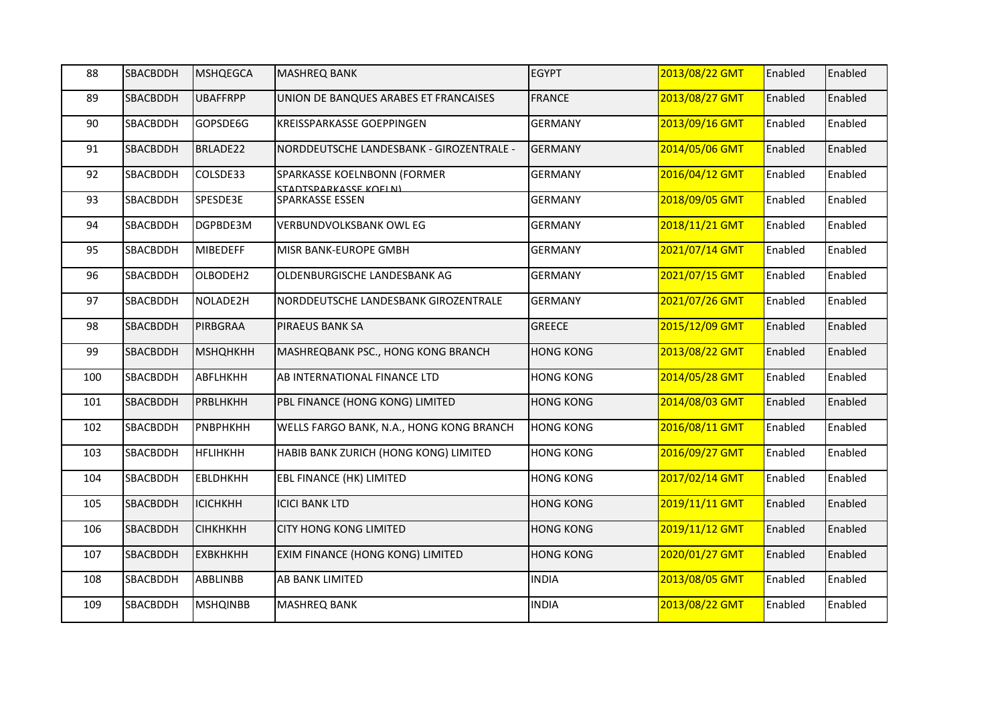| 88  | SBACBDDH        | <b>MSHQEGCA</b> | <b>MASHREQ BANK</b>                                         | <b>EGYPT</b>     | 2013/08/22 GMT | Enabled | Enabled |
|-----|-----------------|-----------------|-------------------------------------------------------------|------------------|----------------|---------|---------|
| 89  | <b>SBACBDDH</b> | <b>UBAFFRPP</b> | UNION DE BANQUES ARABES ET FRANCAISES                       | <b>FRANCE</b>    | 2013/08/27 GMT | Enabled | Enabled |
| 90  | SBACBDDH        | GOPSDE6G        | KREISSPARKASSE GOEPPINGEN                                   | <b>GERMANY</b>   | 2013/09/16 GMT | Enabled | Enabled |
| 91  | SBACBDDH        | BRLADE22        | NORDDEUTSCHE LANDESBANK - GIROZENTRALE -                    | <b>GERMANY</b>   | 2014/05/06 GMT | Enabled | Enabled |
| 92  | SBACBDDH        | COLSDE33        | SPARKASSE KOELNBONN (FORMER<br><b>STADTSDARKASSE KOELNI</b> | <b>GERMANY</b>   | 2016/04/12 GMT | Enabled | Enabled |
| 93  | SBACBDDH        | SPESDE3E        | SPARKASSE ESSEN                                             | <b>GERMANY</b>   | 2018/09/05 GMT | Enabled | Enabled |
| 94  | SBACBDDH        | DGPBDE3M        | VERBUNDVOLKSBANK OWL EG                                     | <b>GERMANY</b>   | 2018/11/21 GMT | Enabled | Enabled |
| 95  | SBACBDDH        | <b>MIBEDEFF</b> | MISR BANK-EUROPE GMBH                                       | <b>GERMANY</b>   | 2021/07/14 GMT | Enabled | Enabled |
| 96  | SBACBDDH        | OLBODEH2        | OLDENBURGISCHE LANDESBANK AG                                | <b>GERMANY</b>   | 2021/07/15 GMT | Enabled | Enabled |
| 97  | SBACBDDH        | NOLADE2H        | NORDDEUTSCHE LANDESBANK GIROZENTRALE                        | <b>GERMANY</b>   | 2021/07/26 GMT | Enabled | Enabled |
| 98  | SBACBDDH        | PIRBGRAA        | <b>PIRAEUS BANK SA</b>                                      | <b>GREECE</b>    | 2015/12/09 GMT | Enabled | Enabled |
| 99  | SBACBDDH        | <b>МЅНQНКНН</b> | MASHREQBANK PSC., HONG KONG BRANCH                          | <b>HONG KONG</b> | 2013/08/22 GMT | Enabled | Enabled |
| 100 | SBACBDDH        | ABFLHKHH        | AB INTERNATIONAL FINANCE LTD                                | <b>HONG KONG</b> | 2014/05/28 GMT | Enabled | Enabled |
| 101 | SBACBDDH        | <b>PRBLHKHH</b> | PBL FINANCE (HONG KONG) LIMITED                             | <b>HONG KONG</b> | 2014/08/03 GMT | Enabled | Enabled |
| 102 | SBACBDDH        | PNBPHKHH        | WELLS FARGO BANK, N.A., HONG KONG BRANCH                    | <b>HONG KONG</b> | 2016/08/11 GMT | Enabled | Enabled |
| 103 | SBACBDDH        | <b>HFLIHKHH</b> | HABIB BANK ZURICH (HONG KONG) LIMITED                       | <b>HONG KONG</b> | 2016/09/27 GMT | Enabled | Enabled |
| 104 | SBACBDDH        | <b>EBLDHKHH</b> | EBL FINANCE (HK) LIMITED                                    | <b>HONG KONG</b> | 2017/02/14 GMT | Enabled | Enabled |
| 105 | SBACBDDH        | <b>ICICHKHH</b> | <b>ICICI BANK LTD</b>                                       | <b>HONG KONG</b> | 2019/11/11 GMT | Enabled | Enabled |
| 106 | SBACBDDH        | <b>СІНКНКНН</b> | <b>CITY HONG KONG LIMITED</b>                               | <b>HONG KONG</b> | 2019/11/12 GMT | Enabled | Enabled |
| 107 | SBACBDDH        | <b>ЕХВКНКНН</b> | EXIM FINANCE (HONG KONG) LIMITED                            | <b>HONG KONG</b> | 2020/01/27 GMT | Enabled | Enabled |
| 108 | SBACBDDH        | <b>ABBLINBB</b> | AB BANK LIMITED                                             | <b>INDIA</b>     | 2013/08/05 GMT | Enabled | Enabled |
| 109 | SBACBDDH        | <b>MSHQINBB</b> | <b>MASHREQ BANK</b>                                         | <b>INDIA</b>     | 2013/08/22 GMT | Enabled | Enabled |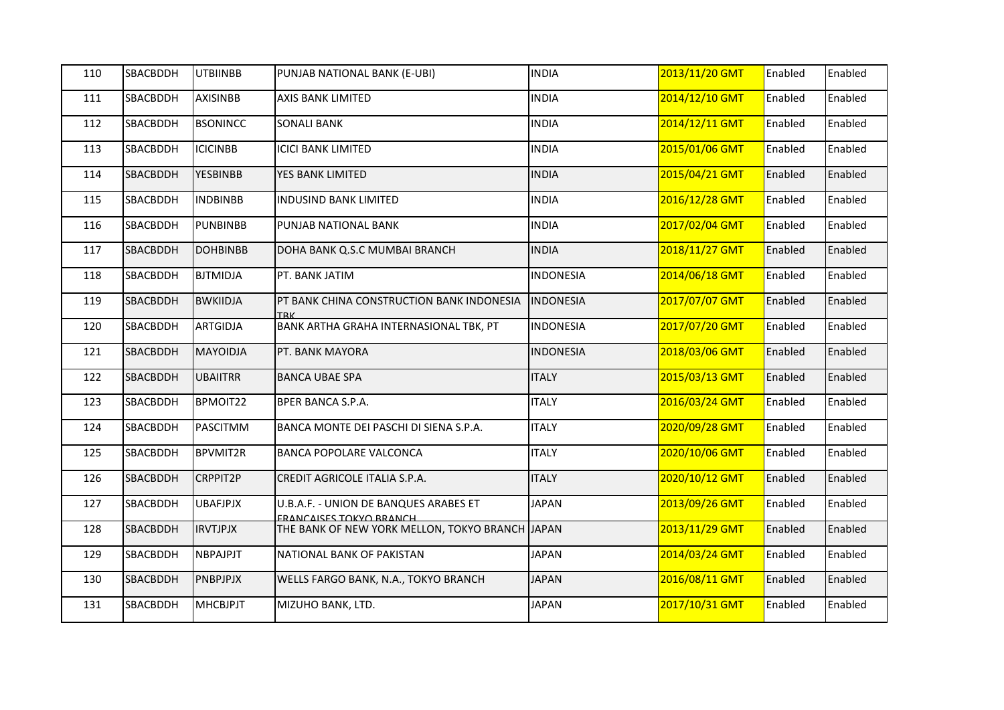| 110 | SBACBDDH | <b>UTBIINBB</b> | PUNJAB NATIONAL BANK (E-UBI)                                     | <b>INDIA</b>     | 2013/11/20 GMT | Enabled | Enabled |
|-----|----------|-----------------|------------------------------------------------------------------|------------------|----------------|---------|---------|
| 111 | SBACBDDH | <b>AXISINBB</b> | AXIS BANK LIMITED                                                | <b>INDIA</b>     | 2014/12/10 GMT | Enabled | Enabled |
| 112 | SBACBDDH | <b>BSONINCC</b> | <b>SONALI BANK</b>                                               | <b>INDIA</b>     | 2014/12/11 GMT | Enabled | Enabled |
| 113 | SBACBDDH | <b>ICICINBB</b> | <b>ICICI BANK LIMITED</b>                                        | <b>INDIA</b>     | 2015/01/06 GMT | Enabled | Enabled |
| 114 | SBACBDDH | <b>YESBINBB</b> | YES BANK LIMITED                                                 | <b>INDIA</b>     | 2015/04/21 GMT | Enabled | Enabled |
| 115 | SBACBDDH | <b>INDBINBB</b> | <b>INDUSIND BANK LIMITED</b>                                     | <b>INDIA</b>     | 2016/12/28 GMT | Enabled | Enabled |
| 116 | SBACBDDH | <b>PUNBINBB</b> | PUNJAB NATIONAL BANK                                             | <b>INDIA</b>     | 2017/02/04 GMT | Enabled | Enabled |
| 117 | SBACBDDH | <b>DOHBINBB</b> | DOHA BANK Q.S.C MUMBAI BRANCH                                    | <b>INDIA</b>     | 2018/11/27 GMT | Enabled | Enabled |
| 118 | SBACBDDH | <b>BJTMIDJA</b> | PT. BANK JATIM                                                   | <b>INDONESIA</b> | 2014/06/18 GMT | Enabled | Enabled |
| 119 | SBACBDDH | <b>BWKIIDJA</b> | PT BANK CHINA CONSTRUCTION BANK INDONESIA<br>TRK                 | <b>INDONESIA</b> | 2017/07/07 GMT | Enabled | Enabled |
| 120 | SBACBDDH | <b>ARTGIDJA</b> | BANK ARTHA GRAHA INTERNASIONAL TBK, PT                           | <b>INDONESIA</b> | 2017/07/20 GMT | Enabled | Enabled |
| 121 | SBACBDDH | <b>MAYOIDJA</b> | PT. BANK MAYORA                                                  | <b>INDONESIA</b> | 2018/03/06 GMT | Enabled | Enabled |
| 122 | SBACBDDH | <b>UBAIITRR</b> | <b>BANCA UBAE SPA</b>                                            | <b>ITALY</b>     | 2015/03/13 GMT | Enabled | Enabled |
| 123 | SBACBDDH | BPMOIT22        | BPER BANCA S.P.A.                                                | <b>ITALY</b>     | 2016/03/24 GMT | Enabled | Enabled |
| 124 | SBACBDDH | <b>PASCITMM</b> | BANCA MONTE DEI PASCHI DI SIENA S.P.A.                           | <b>ITALY</b>     | 2020/09/28 GMT | Enabled | Enabled |
| 125 | SBACBDDH | <b>BPVMIT2R</b> | <b>BANCA POPOLARE VALCONCA</b>                                   | <b>ITALY</b>     | 2020/10/06 GMT | Enabled | Enabled |
| 126 | SBACBDDH | CRPPIT2P        | CREDIT AGRICOLE ITALIA S.P.A.                                    | <b>ITALY</b>     | 2020/10/12 GMT | Enabled | Enabled |
| 127 | SBACBDDH | <b>UBAFJPJX</b> | U.B.A.F. - UNION DE BANQUES ARABES ET<br>ERANCAISES TOKYO BRANCH | <b>JAPAN</b>     | 2013/09/26 GMT | Enabled | Enabled |
| 128 | SBACBDDH | <b>IRVTJPJX</b> | THE BANK OF NEW YORK MELLON, TOKYO BRANCH JAPAN                  |                  | 2013/11/29 GMT | Enabled | Enabled |
| 129 | SBACBDDH | <b>NBPAJPJT</b> | NATIONAL BANK OF PAKISTAN                                        | <b>JAPAN</b>     | 2014/03/24 GMT | Enabled | Enabled |
| 130 | SBACBDDH | PNBPJPJX        | WELLS FARGO BANK, N.A., TOKYO BRANCH                             | <b>JAPAN</b>     | 2016/08/11 GMT | Enabled | Enabled |
| 131 | SBACBDDH | <b>MHCBJPJT</b> | MIZUHO BANK, LTD.                                                | <b>JAPAN</b>     | 2017/10/31 GMT | Enabled | Enabled |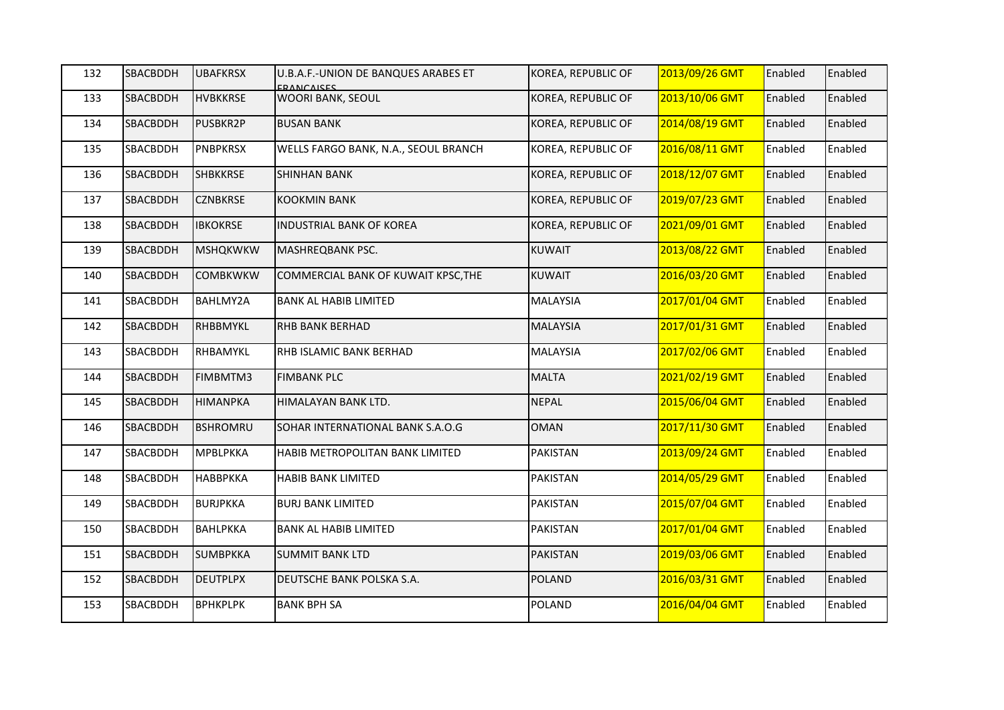| 132 | SBACBDDH        | <b>UBAFKRSX</b> | U.B.A.F.-UNION DE BANQUES ARABES ET<br><b>ERANCAISES</b> | KOREA, REPUBLIC OF        | 2013/09/26 GMT | Enabled | Enabled |
|-----|-----------------|-----------------|----------------------------------------------------------|---------------------------|----------------|---------|---------|
| 133 | <b>SBACBDDH</b> | <b>HVBKKRSE</b> | WOORI BANK, SEOUL                                        | <b>KOREA, REPUBLIC OF</b> | 2013/10/06 GMT | Enabled | Enabled |
| 134 | SBACBDDH        | <b>PUSBKR2P</b> | <b>BUSAN BANK</b>                                        | KOREA, REPUBLIC OF        | 2014/08/19 GMT | Enabled | Enabled |
| 135 | SBACBDDH        | <b>PNBPKRSX</b> | WELLS FARGO BANK, N.A., SEOUL BRANCH                     | KOREA, REPUBLIC OF        | 2016/08/11 GMT | Enabled | Enabled |
| 136 | SBACBDDH        | <b>SHBKKRSE</b> | <b>SHINHAN BANK</b>                                      | KOREA, REPUBLIC OF        | 2018/12/07 GMT | Enabled | Enabled |
| 137 | SBACBDDH        | <b>CZNBKRSE</b> | <b>KOOKMIN BANK</b>                                      | KOREA, REPUBLIC OF        | 2019/07/23 GMT | Enabled | Enabled |
| 138 | SBACBDDH        | <b>IBKOKRSE</b> | <b>INDUSTRIAL BANK OF KOREA</b>                          | KOREA, REPUBLIC OF        | 2021/09/01 GMT | Enabled | Enabled |
| 139 | SBACBDDH        | <b>MSHQKWKW</b> | MASHREQBANK PSC.                                         | <b>KUWAIT</b>             | 2013/08/22 GMT | Enabled | Enabled |
| 140 | <b>SBACBDDH</b> | <b>COMBKWKW</b> | COMMERCIAL BANK OF KUWAIT KPSC, THE                      | <b>KUWAIT</b>             | 2016/03/20 GMT | Enabled | Enabled |
| 141 | SBACBDDH        | BAHLMY2A        | <b>BANK AL HABIB LIMITED</b>                             | MALAYSIA                  | 2017/01/04 GMT | Enabled | Enabled |
| 142 | SBACBDDH        | RHBBMYKL        | <b>RHB BANK BERHAD</b>                                   | <b>MALAYSIA</b>           | 2017/01/31 GMT | Enabled | Enabled |
| 143 | SBACBDDH        | RHBAMYKL        | RHB ISLAMIC BANK BERHAD                                  | MALAYSIA                  | 2017/02/06 GMT | Enabled | Enabled |
| 144 | SBACBDDH        | FIMBMTM3        | <b>FIMBANK PLC</b>                                       | <b>MALTA</b>              | 2021/02/19 GMT | Enabled | Enabled |
| 145 | SBACBDDH        | <b>HIMANPKA</b> | HIMALAYAN BANK LTD.                                      | <b>NEPAL</b>              | 2015/06/04 GMT | Enabled | Enabled |
| 146 | <b>SBACBDDH</b> | <b>BSHROMRU</b> | SOHAR INTERNATIONAL BANK S.A.O.G                         | <b>OMAN</b>               | 2017/11/30 GMT | Enabled | Enabled |
| 147 | SBACBDDH        | <b>MPBLPKKA</b> | <b>HABIB METROPOLITAN BANK LIMITED</b>                   | PAKISTAN                  | 2013/09/24 GMT | Enabled | Enabled |
| 148 | SBACBDDH        | <b>НАВВРККА</b> | <b>HABIB BANK LIMITED</b>                                | PAKISTAN                  | 2014/05/29 GMT | Enabled | Enabled |
| 149 | SBACBDDH        | <b>BURJPKKA</b> | <b>BURJ BANK LIMITED</b>                                 | <b>PAKISTAN</b>           | 2015/07/04 GMT | Enabled | Enabled |
| 150 | SBACBDDH        | <b>BAHLPKKA</b> | <b>BANK AL HABIB LIMITED</b>                             | PAKISTAN                  | 2017/01/04 GMT | Enabled | Enabled |
| 151 | <b>SBACBDDH</b> | <b>SUMBPKKA</b> | <b>SUMMIT BANK LTD</b>                                   | <b>PAKISTAN</b>           | 2019/03/06 GMT | Enabled | Enabled |
| 152 | SBACBDDH        | <b>DEUTPLPX</b> | DEUTSCHE BANK POLSKA S.A.                                | POLAND                    | 2016/03/31 GMT | Enabled | Enabled |
| 153 | SBACBDDH        | <b>BPHKPLPK</b> | <b>BANK BPH SA</b>                                       | <b>POLAND</b>             | 2016/04/04 GMT | Enabled | Enabled |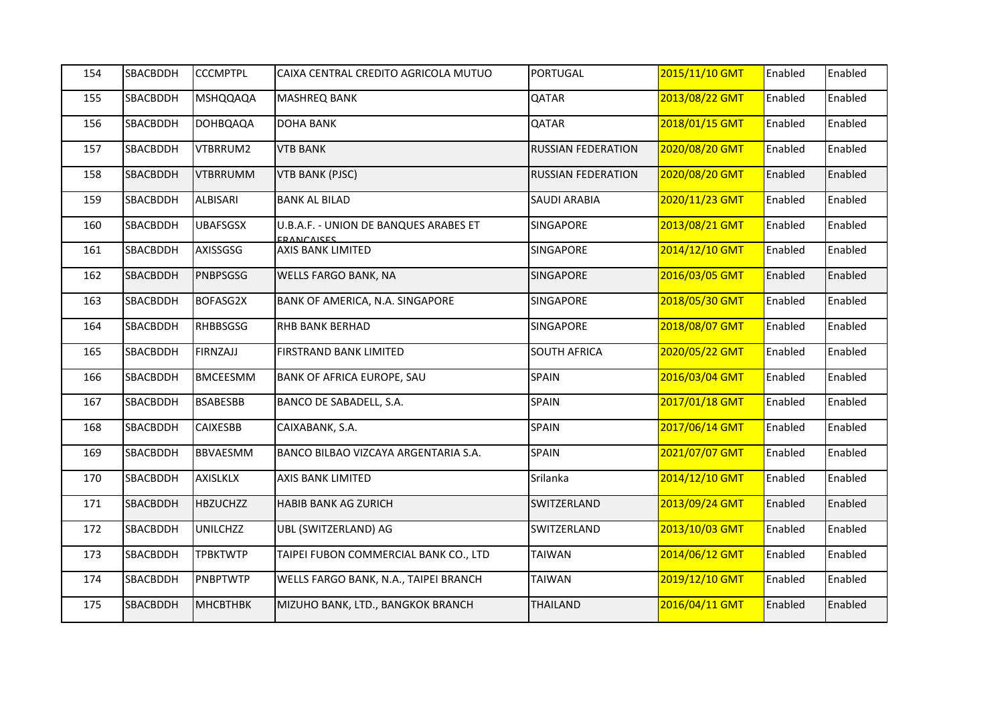| 154 | SBACBDDH        | <b>CCCMPTPL</b> | CAIXA CENTRAL CREDITO AGRICOLA MUTUO                       | <b>PORTUGAL</b>           | 2015/11/10 GMT | Enabled | Enabled |
|-----|-----------------|-----------------|------------------------------------------------------------|---------------------------|----------------|---------|---------|
| 155 | <b>SBACBDDH</b> | <b>MSHQQAQA</b> | <b>MASHREQ BANK</b>                                        | QATAR                     | 2013/08/22 GMT | Enabled | Enabled |
| 156 | SBACBDDH        | <b>DOHBQAQA</b> | <b>DOHA BANK</b>                                           | QATAR                     | 2018/01/15 GMT | Enabled | Enabled |
| 157 | SBACBDDH        | VTBRRUM2        | <b>VTB BANK</b>                                            | RUSSIAN FEDERATION        | 2020/08/20 GMT | Enabled | Enabled |
| 158 | <b>SBACBDDH</b> | <b>VTBRRUMM</b> | <b>VTB BANK (PJSC)</b>                                     | <b>RUSSIAN FEDERATION</b> | 2020/08/20 GMT | Enabled | Enabled |
| 159 | SBACBDDH        | ALBISARI        | <b>BANK AL BILAD</b>                                       | SAUDI ARABIA              | 2020/11/23 GMT | Enabled | Enabled |
| 160 | SBACBDDH        | <b>UBAFSGSX</b> | U.B.A.F. - UNION DE BANQUES ARABES ET<br><b>ERANCAISES</b> | SINGAPORE                 | 2013/08/21 GMT | Enabled | Enabled |
| 161 | SBACBDDH        | <b>AXISSGSG</b> | AXIS BANK LIMITED                                          | SINGAPORE                 | 2014/12/10 GMT | Enabled | Enabled |
| 162 | <b>SBACBDDH</b> | PNBPSGSG        | WELLS FARGO BANK, NA                                       | SINGAPORE                 | 2016/03/05 GMT | Enabled | Enabled |
| 163 | <b>SBACBDDH</b> | <b>BOFASG2X</b> | BANK OF AMERICA, N.A. SINGAPORE                            | SINGAPORE                 | 2018/05/30 GMT | Enabled | Enabled |
| 164 | SBACBDDH        | <b>RHBBSGSG</b> | <b>RHB BANK BERHAD</b>                                     | SINGAPORE                 | 2018/08/07 GMT | Enabled | Enabled |
| 165 | SBACBDDH        | FIRNZAJJ        | FIRSTRAND BANK LIMITED                                     | SOUTH AFRICA              | 2020/05/22 GMT | Enabled | Enabled |
| 166 | <b>SBACBDDH</b> | <b>BMCEESMM</b> | BANK OF AFRICA EUROPE, SAU                                 | <b>SPAIN</b>              | 2016/03/04 GMT | Enabled | Enabled |
| 167 | SBACBDDH        | <b>BSABESBB</b> | BANCO DE SABADELL, S.A.                                    | <b>SPAIN</b>              | 2017/01/18 GMT | Enabled | Enabled |
| 168 | SBACBDDH        | <b>CAIXESBB</b> | CAIXABANK, S.A.                                            | <b>SPAIN</b>              | 2017/06/14 GMT | Enabled | Enabled |
| 169 | <b>SBACBDDH</b> | <b>BBVAESMM</b> | BANCO BILBAO VIZCAYA ARGENTARIA S.A.                       | <b>SPAIN</b>              | 2021/07/07 GMT | Enabled | Enabled |
| 170 | <b>SBACBDDH</b> | <b>AXISLKLX</b> | AXIS BANK LIMITED                                          | Srilanka                  | 2014/12/10 GMT | Enabled | Enabled |
| 171 | SBACBDDH        | <b>HBZUCHZZ</b> | HABIB BANK AG ZURICH                                       | SWITZERLAND               | 2013/09/24 GMT | Enabled | Enabled |
| 172 | <b>SBACBDDH</b> | <b>UNILCHZZ</b> | UBL (SWITZERLAND) AG                                       | SWITZERLAND               | 2013/10/03 GMT | Enabled | Enabled |
| 173 | SBACBDDH        | <b>TPBKTWTP</b> | TAIPEI FUBON COMMERCIAL BANK CO., LTD                      | <b>TAIWAN</b>             | 2014/06/12 GMT | Enabled | Enabled |
| 174 | SBACBDDH        | <b>PNBPTWTP</b> | WELLS FARGO BANK, N.A., TAIPEI BRANCH                      | <b>TAIWAN</b>             | 2019/12/10 GMT | Enabled | Enabled |
| 175 | <b>SBACBDDH</b> | <b>MHCBTHBK</b> | MIZUHO BANK, LTD., BANGKOK BRANCH                          | <b>THAILAND</b>           | 2016/04/11 GMT | Enabled | Enabled |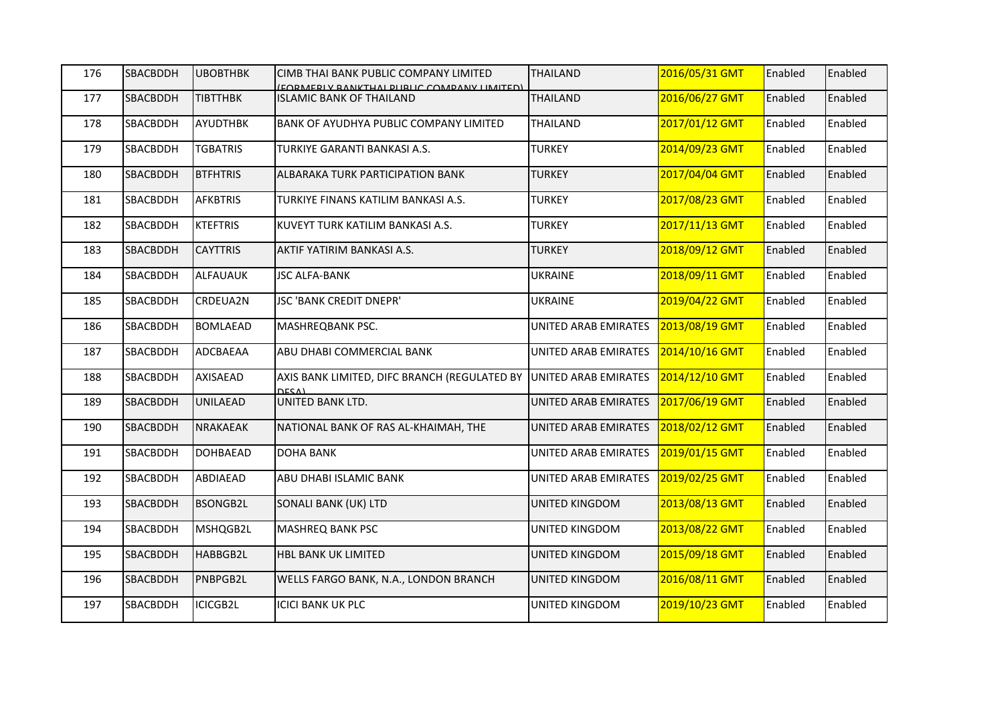| 176 | SBACBDDH | <b>UBOBTHBK</b> | CIMB THAI BANK PUBLIC COMPANY LIMITED<br>(FORMERI V RANKTHAI DI IRLIC COMPANY LIMITED) | <b>THAILAND</b>      | 2016/05/31 GMT | Enabled | Enabled |
|-----|----------|-----------------|----------------------------------------------------------------------------------------|----------------------|----------------|---------|---------|
| 177 | SBACBDDH | <b>TIBTTHBK</b> | <b>ISLAMIC BANK OF THAILAND</b>                                                        | <b>THAILAND</b>      | 2016/06/27 GMT | Enabled | Enabled |
| 178 | SBACBDDH | AYUDTHBK        | BANK OF AYUDHYA PUBLIC COMPANY LIMITED                                                 | <b>THAILAND</b>      | 2017/01/12 GMT | Enabled | Enabled |
| 179 | SBACBDDH | <b>TGBATRIS</b> | TURKIYE GARANTI BANKASI A.S.                                                           | <b>TURKEY</b>        | 2014/09/23 GMT | Enabled | Enabled |
| 180 | SBACBDDH | <b>BTFHTRIS</b> | ALBARAKA TURK PARTICIPATION BANK                                                       | <b>TURKEY</b>        | 2017/04/04 GMT | Enabled | Enabled |
| 181 | SBACBDDH | <b>AFKBTRIS</b> | TURKIYE FINANS KATILIM BANKASI A.S.                                                    | <b>TURKEY</b>        | 2017/08/23 GMT | Enabled | Enabled |
| 182 | SBACBDDH | <b>KTEFTRIS</b> | KUVEYT TURK KATILIM BANKASI A.S.                                                       | <b>TURKEY</b>        | 2017/11/13 GMT | Enabled | Enabled |
| 183 | SBACBDDH | <b>CAYTTRIS</b> | AKTIF YATIRIM BANKASI A.S.                                                             | <b>TURKEY</b>        | 2018/09/12 GMT | Enabled | Enabled |
| 184 | SBACBDDH | <b>ALFAUAUK</b> | <b>JSC ALFA-BANK</b>                                                                   | UKRAINE              | 2018/09/11 GMT | Enabled | Enabled |
| 185 | SBACBDDH | CRDEUA2N        | JSC 'BANK CREDIT DNEPR'                                                                | <b>UKRAINE</b>       | 2019/04/22 GMT | Enabled | Enabled |
| 186 | SBACBDDH | <b>BOMLAEAD</b> | MASHREQBANK PSC.                                                                       | UNITED ARAB EMIRATES | 2013/08/19 GMT | Enabled | Enabled |
| 187 | SBACBDDH | ADCBAEAA        | ABU DHABI COMMERCIAL BANK                                                              | UNITED ARAB EMIRATES | 2014/10/16 GMT | Enabled | Enabled |
| 188 | SBACBDDH | AXISAEAD        | AXIS BANK LIMITED, DIFC BRANCH (REGULATED BY<br><b>DESA)</b>                           | UNITED ARAB EMIRATES | 2014/12/10 GMT | Enabled | Enabled |
| 189 | SBACBDDH | <b>UNILAEAD</b> | UNITED BANK LTD.                                                                       | UNITED ARAB EMIRATES | 2017/06/19 GMT | Enabled | Enabled |
| 190 | SBACBDDH | <b>NRAKAEAK</b> | NATIONAL BANK OF RAS AL-KHAIMAH, THE                                                   | UNITED ARAB EMIRATES | 2018/02/12 GMT | Enabled | Enabled |
| 191 | SBACBDDH | <b>DOHBAEAD</b> | <b>DOHA BANK</b>                                                                       | UNITED ARAB EMIRATES | 2019/01/15 GMT | Enabled | Enabled |
| 192 | SBACBDDH | ABDIAEAD        | ABU DHABI ISLAMIC BANK                                                                 | UNITED ARAB EMIRATES | 2019/02/25 GMT | Enabled | Enabled |
| 193 | SBACBDDH | <b>BSONGB2L</b> | SONALI BANK (UK) LTD                                                                   | UNITED KINGDOM       | 2013/08/13 GMT | Enabled | Enabled |
| 194 | SBACBDDH | MSHQGB2L        | <b>MASHREQ BANK PSC</b>                                                                | UNITED KINGDOM       | 2013/08/22 GMT | Enabled | Enabled |
| 195 | SBACBDDH | HABBGB2L        | HBL BANK UK LIMITED                                                                    | UNITED KINGDOM       | 2015/09/18 GMT | Enabled | Enabled |
| 196 | SBACBDDH | PNBPGB2L        | WELLS FARGO BANK, N.A., LONDON BRANCH                                                  | UNITED KINGDOM       | 2016/08/11 GMT | Enabled | Enabled |
| 197 | SBACBDDH | ICICGB2L        | <b>ICICI BANK UK PLC</b>                                                               | UNITED KINGDOM       | 2019/10/23 GMT | Enabled | Enabled |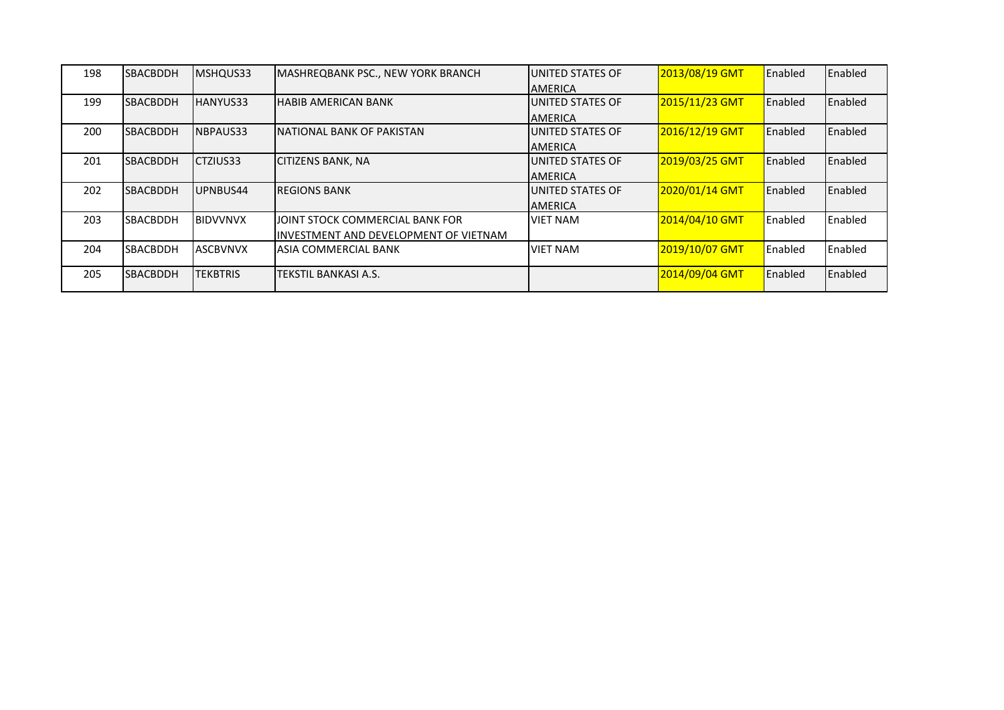| 198 | <b>SBACBDDH</b> | MSHQUS33        | <b>MASHREQBANK PSC., NEW YORK BRANCH</b> | <b>JUNITED STATES OF</b> | 2013/08/19 GMT | Enabled | Enabled |
|-----|-----------------|-----------------|------------------------------------------|--------------------------|----------------|---------|---------|
|     |                 |                 |                                          | <b>JAMERICA</b>          |                |         |         |
| 199 | <b>SBACBDDH</b> | HANYUS33        | <b>HABIB AMERICAN BANK</b>               | <b>LUNITED STATES OF</b> | 2015/11/23 GMT | Enabled | Enabled |
|     |                 |                 |                                          | <b>AMERICA</b>           |                |         |         |
| 200 | <b>SBACBDDH</b> | NBPAUS33        | NATIONAL BANK OF PAKISTAN                | <b>LUNITED STATES OF</b> | 2016/12/19 GMT | Enabled | Enabled |
|     |                 |                 |                                          | <b>JAMERICA</b>          |                |         |         |
| 201 | <b>SBACBDDH</b> | ICTZIUS33       | <b>CITIZENS BANK, NA</b>                 | <b>JUNITED STATES OF</b> | 2019/03/25 GMT | Enabled | Enabled |
|     |                 |                 |                                          | <b>AMERICA</b>           |                |         |         |
| 202 | <b>SBACBDDH</b> | UPNBUS44        | <b>REGIONS BANK</b>                      | <b>JUNITED STATES OF</b> | 2020/01/14 GMT | Enabled | Enabled |
|     |                 |                 |                                          | <b>AMERICA</b>           |                |         |         |
| 203 | <b>SBACBDDH</b> | <b>BIDVVNVX</b> | JOINT STOCK COMMERCIAL BANK FOR          | <b>VIET NAM</b>          | 2014/04/10 GMT | Enabled | Enabled |
|     |                 |                 | INVESTMENT AND DEVELOPMENT OF VIETNAM    |                          |                |         |         |
| 204 | <b>SBACBDDH</b> | <b>ASCBVNVX</b> | ASIA COMMERCIAL BANK                     | <b>VIET NAM</b>          | 2019/10/07 GMT | Enabled | Enabled |
|     |                 |                 |                                          |                          |                |         |         |
| 205 | <b>SBACBDDH</b> | <b>TEKBTRIS</b> | TEKSTIL BANKASI A.S.                     |                          | 2014/09/04 GMT | Enabled | Enabled |
|     |                 |                 |                                          |                          |                |         |         |